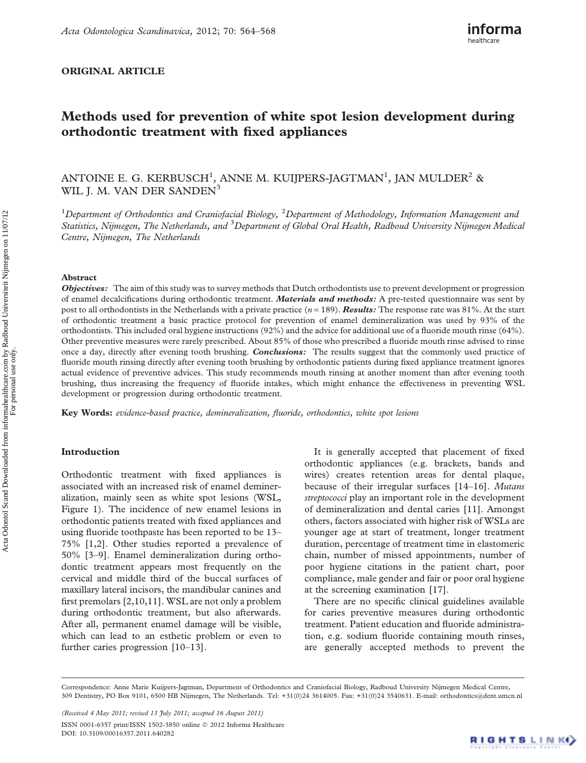# ORIGINAL ARTICLE



# Methods used for prevention of white spot lesion development during orthodontic treatment with fixed appliances

ANTOINE E. G. KERBUSCH $^1$ , ANNE M. KUIJPERS-JAGTMAN $^1$ , JAN MULDER $^2$  & WIL J. M. VAN DER SANDEN<sup>3</sup>

<sup>1</sup>Department of Orthodontics and Craniofacial Biology, <sup>2</sup>Department of Methodology, Information Management and Statistics, Nijmegen, The Netherlands, and <sup>3</sup>Department of Global Oral Health, Radboud University Nijmegen Medical Centre, Nijmegen, The Netherlands

#### Abstract

**Objectives:** The aim of this study was to survey methods that Dutch orthodontists use to prevent development or progression of enamel decalcifications during orthodontic treatment. *Materials and methods*: A pre-tested questionnaire was sent by post to all orthodontists in the Netherlands with a private practice  $(n = 189)$ . **Results:** The response rate was  $81\%$ . At the start of orthodontic treatment a basic practice protocol for prevention of enamel demineralization was used by 93% of the orthodontists. This included oral hygiene instructions (92%) and the advice for additional use of a fluoride mouth rinse (64%). Other preventive measures were rarely prescribed. About 85% of those who prescribed a fluoride mouth rinse advised to rinse once a day, directly after evening tooth brushing. Conclusions: The results suggest that the commonly used practice of fluoride mouth rinsing directly after evening tooth brushing by orthodontic patients during fixed appliance treatment ignores actual evidence of preventive advices. This study recommends mouth rinsing at another moment than after evening tooth brushing, thus increasing the frequency of fluoride intakes, which might enhance the effectiveness in preventing WSL development or progression during orthodontic treatment.

Key Words: evidence-based practice, demineralization, fluoride, orthodontics, white spot lesions

## Introduction

Orthodontic treatment with fixed appliances is associated with an increased risk of enamel demineralization, mainly seen as white spot lesions (WSL, Figure 1). The incidence of new enamel lesions in orthodontic patients treated with fixed appliances and using fluoride toothpaste has been reported to be 13– 75% [1,2]. Other studies reported a prevalence of 50% [3–9]. Enamel demineralization during orthodontic treatment appears most frequently on the cervical and middle third of the buccal surfaces of maxillary lateral incisors, the mandibular canines and first premolars [2,10,11]. WSL are not only a problem during orthodontic treatment, but also afterwards. After all, permanent enamel damage will be visible, which can lead to an esthetic problem or even to further caries progression [10–13].

It is generally accepted that placement of fixed orthodontic appliances (e.g. brackets, bands and wires) creates retention areas for dental plaque, because of their irregular surfaces [14-16]. Mutans streptococci play an important role in the development of demineralization and dental caries [11]. Amongst others, factors associated with higher risk of WSLs are younger age at start of treatment, longer treatment duration, percentage of treatment time in elastomeric chain, number of missed appointments, number of poor hygiene citations in the patient chart, poor compliance, male gender and fair or poor oral hygiene at the screening examination [17].

There are no specific clinical guidelines available for caries preventive measures during orthodontic treatment. Patient education and fluoride administration, e.g. sodium fluoride containing mouth rinses, are generally accepted methods to prevent the

(Received 4 May 2011; revised 13 July 2011; accepted 16 August 2011) ISSN 0001-6357 print/ISSN 1502-3850 online © 2012 Informa Healthcare DOI: 10.3109/00016357.2011.640282

Correspondence: Anne Marie Kuijpers-Jagtman, Department of Orthodontics and Craniofacial Biology, Radboud University Nijmegen Medical Centre, 309 Dentistry, PO Box 9101, 6500 HB Nijmegen, The Netherlands. Tel: +31(0)24 3614005. Fax: +31(0)24 3540631. E-mail: orthodontics@dent.umcn.nl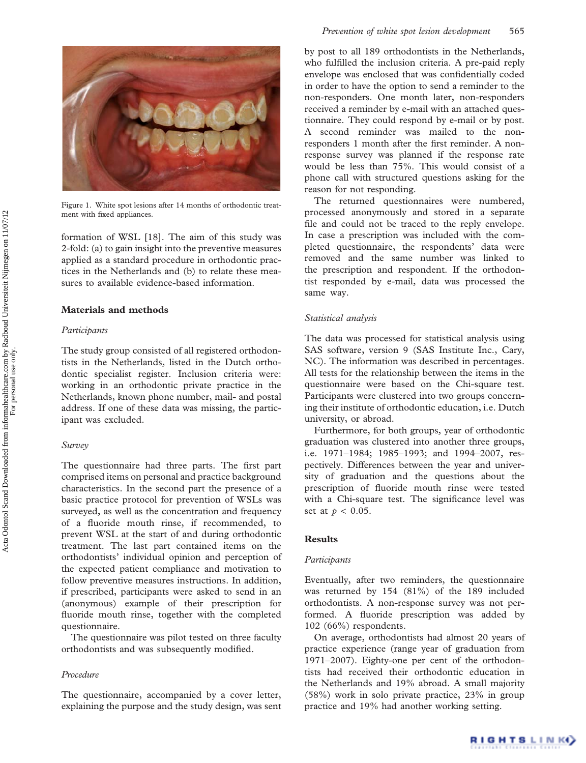

Figure 1. White spot lesions after 14 months of orthodontic treatment with fixed appliances.

formation of WSL [18]. The aim of this study was 2-fold: (a) to gain insight into the preventive measures applied as a standard procedure in orthodontic practices in the Netherlands and (b) to relate these measures to available evidence-based information.

## Materials and methods

## Participants

The study group consisted of all registered orthodontists in the Netherlands, listed in the Dutch orthodontic specialist register. Inclusion criteria were: working in an orthodontic private practice in the Netherlands, known phone number, mail- and postal address. If one of these data was missing, the participant was excluded.

#### Survey

The questionnaire had three parts. The first part comprised items on personal and practice background characteristics. In the second part the presence of a basic practice protocol for prevention of WSLs was surveyed, as well as the concentration and frequency of a fluoride mouth rinse, if recommended, to prevent WSL at the start of and during orthodontic treatment. The last part contained items on the orthodontists' individual opinion and perception of the expected patient compliance and motivation to follow preventive measures instructions. In addition, if prescribed, participants were asked to send in an (anonymous) example of their prescription for fluoride mouth rinse, together with the completed questionnaire.

The questionnaire was pilot tested on three faculty orthodontists and was subsequently modified.

## Procedure

The questionnaire, accompanied by a cover letter, explaining the purpose and the study design, was sent by post to all 189 orthodontists in the Netherlands, who fulfilled the inclusion criteria. A pre-paid reply envelope was enclosed that was confidentially coded in order to have the option to send a reminder to the non-responders. One month later, non-responders received a reminder by e-mail with an attached questionnaire. They could respond by e-mail or by post. A second reminder was mailed to the nonresponders 1 month after the first reminder. A nonresponse survey was planned if the response rate would be less than 75%. This would consist of a phone call with structured questions asking for the reason for not responding.

The returned questionnaires were numbered, processed anonymously and stored in a separate file and could not be traced to the reply envelope. In case a prescription was included with the completed questionnaire, the respondents' data were removed and the same number was linked to the prescription and respondent. If the orthodontist responded by e-mail, data was processed the same way.

### Statistical analysis

The data was processed for statistical analysis using SAS software, version 9 (SAS Institute Inc., Cary, NC). The information was described in percentages. All tests for the relationship between the items in the questionnaire were based on the Chi-square test. Participants were clustered into two groups concerning their institute of orthodontic education, i.e. Dutch university, or abroad.

Furthermore, for both groups, year of orthodontic graduation was clustered into another three groups, i.e. 1971–1984; 1985–1993; and 1994–2007, respectively. Differences between the year and university of graduation and the questions about the prescription of fluoride mouth rinse were tested with a Chi-square test. The significance level was set at  $p < 0.05$ .

# **Results**

## Participants

Eventually, after two reminders, the questionnaire was returned by 154 (81%) of the 189 included orthodontists. A non-response survey was not performed. A fluoride prescription was added by 102 (66%) respondents.

On average, orthodontists had almost 20 years of practice experience (range year of graduation from 1971–2007). Eighty-one per cent of the orthodontists had received their orthodontic education in the Netherlands and 19% abroad. A small majority (58%) work in solo private practice, 23% in group practice and 19% had another working setting.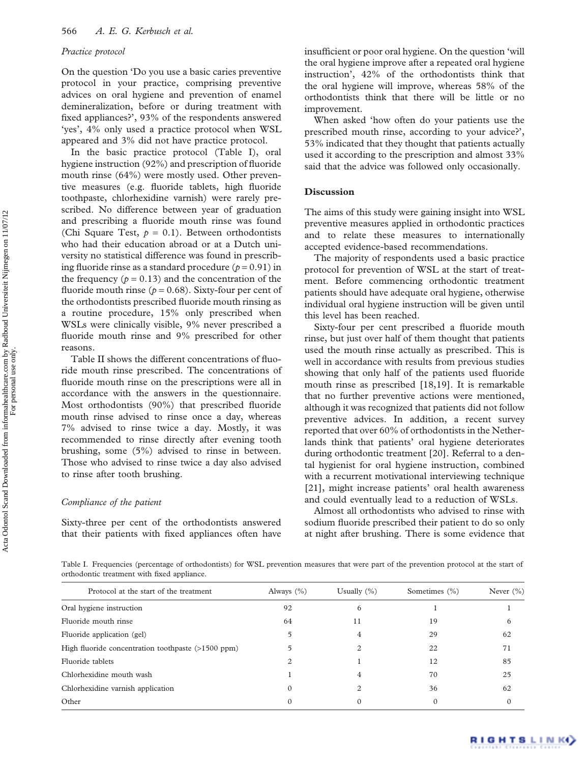#### Practice protocol

On the question 'Do you use a basic caries preventive protocol in your practice, comprising preventive advices on oral hygiene and prevention of enamel demineralization, before or during treatment with fixed appliances?', 93% of the respondents answered 'yes', 4% only used a practice protocol when WSL appeared and 3% did not have practice protocol.

In the basic practice protocol (Table I), oral hygiene instruction (92%) and prescription of fluoride mouth rinse (64%) were mostly used. Other preventive measures (e.g. fluoride tablets, high fluoride toothpaste, chlorhexidine varnish) were rarely prescribed. No difference between year of graduation and prescribing a fluoride mouth rinse was found (Chi Square Test,  $p = 0.1$ ). Between orthodontists who had their education abroad or at a Dutch university no statistical difference was found in prescribing fluoride rinse as a standard procedure ( $p = 0.91$ ) in the frequency ( $p = 0.13$ ) and the concentration of the fluoride mouth rinse ( $p = 0.68$ ). Sixty-four per cent of the orthodontists prescribed fluoride mouth rinsing as a routine procedure, 15% only prescribed when WSLs were clinically visible, 9% never prescribed a fluoride mouth rinse and 9% prescribed for other reasons.

Table II shows the different concentrations of fluoride mouth rinse prescribed. The concentrations of fluoride mouth rinse on the prescriptions were all in accordance with the answers in the questionnaire. Most orthodontists (90%) that prescribed fluoride mouth rinse advised to rinse once a day, whereas 7% advised to rinse twice a day. Mostly, it was recommended to rinse directly after evening tooth brushing, some (5%) advised to rinse in between. Those who advised to rinse twice a day also advised to rinse after tooth brushing.

## Compliance of the patient

Sixty-three per cent of the orthodontists answered that their patients with fixed appliances often have insufficient or poor oral hygiene. On the question 'will the oral hygiene improve after a repeated oral hygiene instruction', 42% of the orthodontists think that the oral hygiene will improve, whereas 58% of the orthodontists think that there will be little or no improvement.

When asked 'how often do your patients use the prescribed mouth rinse, according to your advice?', 53% indicated that they thought that patients actually used it according to the prescription and almost 33% said that the advice was followed only occasionally.

#### **Discussion**

The aims of this study were gaining insight into WSL preventive measures applied in orthodontic practices and to relate these measures to internationally accepted evidence-based recommendations.

The majority of respondents used a basic practice protocol for prevention of WSL at the start of treatment. Before commencing orthodontic treatment patients should have adequate oral hygiene, otherwise individual oral hygiene instruction will be given until this level has been reached.

Sixty-four per cent prescribed a fluoride mouth rinse, but just over half of them thought that patients used the mouth rinse actually as prescribed. This is well in accordance with results from previous studies showing that only half of the patients used fluoride mouth rinse as prescribed [18,19]. It is remarkable that no further preventive actions were mentioned, although it was recognized that patients did not follow preventive advices. In addition, a recent survey reported that over 60% of orthodontists in the Netherlands think that patients' oral hygiene deteriorates during orthodontic treatment [20]. Referral to a dental hygienist for oral hygiene instruction, combined with a recurrent motivational interviewing technique [21], might increase patients' oral health awareness and could eventually lead to a reduction of WSLs.

Almost all orthodontists who advised to rinse with sodium fluoride prescribed their patient to do so only at night after brushing. There is some evidence that

Table I. Frequencies (percentage of orthodontists) for WSL prevention measures that were part of the prevention protocol at the start of orthodontic treatment with fixed appliance.

| Protocol at the start of the treatment             | Always $(\%)$ | Usually $(\%)$ | Sometimes $(\% )$ | Never $(\% )$ |
|----------------------------------------------------|---------------|----------------|-------------------|---------------|
| Oral hygiene instruction                           | 92            | 6              |                   |               |
| Fluoride mouth rinse                               | 64            | 11             | 19                | <sub>0</sub>  |
| Fluoride application (gel)                         |               |                | 29                | 62            |
| High fluoride concentration toothpaste (>1500 ppm) |               |                | 22                | 71            |
| Fluoride tablets                                   |               |                | 12                | 85            |
| Chlorhexidine mouth wash                           |               |                | 70                | 25            |
| Chlorhexidine varnish application                  |               |                | 36                | 62            |
| Other                                              |               |                |                   |               |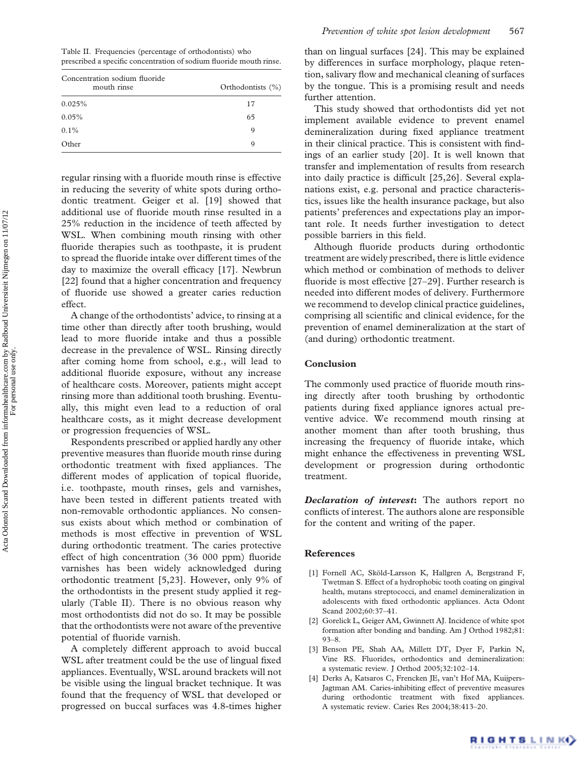Table II. Frequencies (percentage of orthodontists) who prescribed a specific concentration of sodium fluoride mouth rinse.

| Concentration sodium fluoride<br>mouth rinse | Orthodontists (%) |  |
|----------------------------------------------|-------------------|--|
| 0.025%                                       | 17                |  |
| 0.05%                                        | 65                |  |
| $0.1\%$                                      | 9                 |  |
| Other                                        | Q                 |  |

regular rinsing with a fluoride mouth rinse is effective in reducing the severity of white spots during orthodontic treatment. Geiger et al. [19] showed that additional use of fluoride mouth rinse resulted in a 25% reduction in the incidence of teeth affected by WSL. When combining mouth rinsing with other fluoride therapies such as toothpaste, it is prudent to spread the fluoride intake over different times of the day to maximize the overall efficacy [17]. Newbrun [22] found that a higher concentration and frequency of fluoride use showed a greater caries reduction effect.

A change of the orthodontists' advice, to rinsing at a time other than directly after tooth brushing, would lead to more fluoride intake and thus a possible decrease in the prevalence of WSL. Rinsing directly after coming home from school, e.g., will lead to additional fluoride exposure, without any increase of healthcare costs. Moreover, patients might accept rinsing more than additional tooth brushing. Eventually, this might even lead to a reduction of oral healthcare costs, as it might decrease development or progression frequencies of WSL.

Respondents prescribed or applied hardly any other preventive measures than fluoride mouth rinse during orthodontic treatment with fixed appliances. The different modes of application of topical fluoride, i.e. toothpaste, mouth rinses, gels and varnishes, have been tested in different patients treated with non-removable orthodontic appliances. No consensus exists about which method or combination of methods is most effective in prevention of WSL during orthodontic treatment. The caries protective effect of high concentration (36 000 ppm) fluoride varnishes has been widely acknowledged during orthodontic treatment [5,23]. However, only 9% of the orthodontists in the present study applied it regularly (Table II). There is no obvious reason why most orthodontists did not do so. It may be possible that the orthodontists were not aware of the preventive potential of fluoride varnish.

A completely different approach to avoid buccal WSL after treatment could be the use of lingual fixed appliances. Eventually, WSL around brackets will not be visible using the lingual bracket technique. It was found that the frequency of WSL that developed or progressed on buccal surfaces was 4.8-times higher

than on lingual surfaces [24]. This may be explained by differences in surface morphology, plaque retention, salivary flow and mechanical cleaning of surfaces by the tongue. This is a promising result and needs further attention.

This study showed that orthodontists did yet not implement available evidence to prevent enamel demineralization during fixed appliance treatment in their clinical practice. This is consistent with findings of an earlier study [20]. It is well known that transfer and implementation of results from research into daily practice is difficult [25,26]. Several explanations exist, e.g. personal and practice characteristics, issues like the health insurance package, but also patients' preferences and expectations play an important role. It needs further investigation to detect possible barriers in this field.

Although fluoride products during orthodontic treatment are widely prescribed, there is little evidence which method or combination of methods to deliver fluoride is most effective [27–29]. Further research is needed into different modes of delivery. Furthermore we recommend to develop clinical practice guidelines, comprising all scientific and clinical evidence, for the prevention of enamel demineralization at the start of (and during) orthodontic treatment.

## Conclusion

The commonly used practice of fluoride mouth rinsing directly after tooth brushing by orthodontic patients during fixed appliance ignores actual preventive advice. We recommend mouth rinsing at another moment than after tooth brushing, thus increasing the frequency of fluoride intake, which might enhance the effectiveness in preventing WSL development or progression during orthodontic treatment.

**Declaration of interest:** The authors report no conflicts of interest. The authors alone are responsible for the content and writing of the paper.

#### References

- [1] Fornell AC, Sköld-Larsson K, Hallgren A, Bergstrand F, Twetman S. Effect of a hydrophobic tooth coating on gingival health, mutans streptococci, and enamel demineralization in adolescents with fixed orthodontic appliances. Acta Odont Scand 2002;60:37–41.
- [2] Gorelick L, Geiger AM, Gwinnett AJ. Incidence of white spot formation after bonding and banding. Am J Orthod 1982;81: 93–8.
- [3] Benson PE, Shah AA, Millett DT, Dyer F, Parkin N, Vine RS. Fluorides, orthodontics and demineralization: a systematic review. J Orthod 2005;32:102–14.
- [4] Derks A, Katsaros C, Frencken JE, van't Hof MA, Kuijpers-Jagtman AM. Caries-inhibiting effect of preventive measures during orthodontic treatment with fixed appliances. A systematic review. Caries Res 2004;38:413–20.

For personal use only.